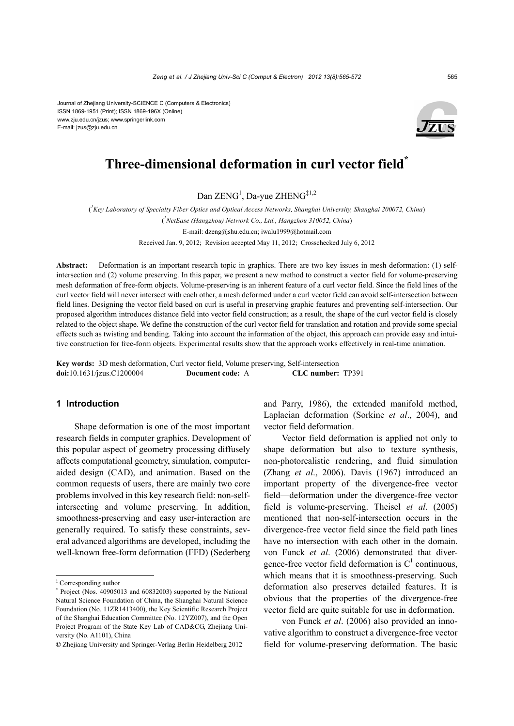Journal of Zhejiang University-SCIENCE C (Computers & Electronics) ISSN 1869-1951 (Print); ISSN 1869-196X (Online) www.zju.edu.cn/jzus; www.springerlink.com E-mail: jzus@zju.edu.cn



# **Three-dimensional deformation in curl vector field\***

Dan ZENG<sup>1</sup>, Da-yue ZHENG<sup>‡1,2</sup>

( *1 Key Laboratory of Specialty Fiber Optics and Optical Access Networks, Shanghai University, Shanghai 200072, China*) ( *2 NetEase (Hangzhou) Network Co., Ltd., Hangzhou 310052, China*) E-mail: dzeng@shu.edu.cn; iwalu1999@hotmail.com Received Jan. 9, 2012; Revision accepted May 11, 2012; Crosschecked July 6, 2012

**Abstract:** Deformation is an important research topic in graphics. There are two key issues in mesh deformation: (1) selfintersection and (2) volume preserving. In this paper, we present a new method to construct a vector field for volume-preserving mesh deformation of free-form objects. Volume-preserving is an inherent feature of a curl vector field. Since the field lines of the curl vector field will never intersect with each other, a mesh deformed under a curl vector field can avoid self-intersection between field lines. Designing the vector field based on curl is useful in preserving graphic features and preventing self-intersection. Our proposed algorithm introduces distance field into vector field construction; as a result, the shape of the curl vector field is closely related to the object shape. We define the construction of the curl vector field for translation and rotation and provide some special effects such as twisting and bending. Taking into account the information of the object, this approach can provide easy and intuitive construction for free-form objects. Experimental results show that the approach works effectively in real-time animation.

**Key words:** 3D mesh deformation, Curl vector field, Volume preserving, Self-intersection **doi:**10.1631/jzus.C1200004 **Document code:** A **CLC number:** TP391

## **1 Introduction**

Shape deformation is one of the most important research fields in computer graphics. Development of this popular aspect of geometry processing diffusely affects computational geometry, simulation, computeraided design (CAD), and animation. Based on the common requests of users, there are mainly two core problems involved in this key research field: non-selfintersecting and volume preserving. In addition, smoothness-preserving and easy user-interaction are generally required. To satisfy these constraints, several advanced algorithms are developed, including the well-known free-form deformation (FFD) (Sederberg

and Parry, 1986), the extended manifold method, Laplacian deformation (Sorkine *et al*., 2004), and vector field deformation.

Vector field deformation is applied not only to shape deformation but also to texture synthesis, non-photorealistic rendering, and fluid simulation (Zhang *et al*., 2006). Davis (1967) introduced an important property of the divergence-free vector field—deformation under the divergence-free vector field is volume-preserving. Theisel *et al*. (2005) mentioned that non-self-intersection occurs in the divergence-free vector field since the field path lines have no intersection with each other in the domain. von Funck *et al*. (2006) demonstrated that divergence-free vector field deformation is  $C<sup>1</sup>$  continuous, which means that it is smoothness-preserving. Such deformation also preserves detailed features. It is obvious that the properties of the divergence-free vector field are quite suitable for use in deformation.

von Funck *et al*. (2006) also provided an innovative algorithm to construct a divergence-free vector field for volume-preserving deformation. The basic

<sup>‡</sup> Corresponding author

<sup>\*</sup> Project (Nos. 40905013 and 60832003) supported by the National Natural Science Foundation of China, the Shanghai Natural Science Foundation (No. 11ZR1413400), the Key Scientific Research Project of the Shanghai Education Committee (No. 12YZ007), and the Open Project Program of the State Key Lab of CAD&CG, Zhejiang University (No. A1101), China

**<sup>©</sup>** Zhejiang University and Springer-Verlag Berlin Heidelberg 2012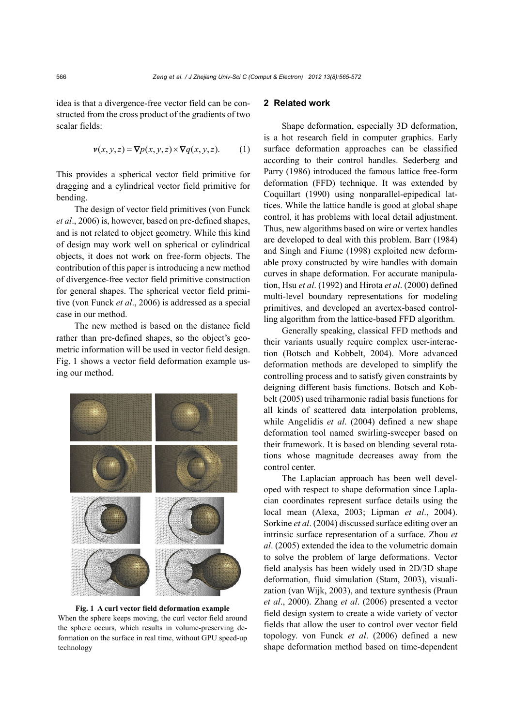idea is that a divergence-free vector field can be constructed from the cross product of the gradients of two scalar fields:

$$
\mathbf{v}(x, y, z) = \nabla p(x, y, z) \times \nabla q(x, y, z). \tag{1}
$$

This provides a spherical vector field primitive for dragging and a cylindrical vector field primitive for bending.

The design of vector field primitives (von Funck *et al*., 2006) is, however, based on pre-defined shapes, and is not related to object geometry. While this kind of design may work well on spherical or cylindrical objects, it does not work on free-form objects. The contribution of this paper is introducing a new method of divergence-free vector field primitive construction for general shapes. The spherical vector field primitive (von Funck *et al*., 2006) is addressed as a special case in our method.

The new method is based on the distance field rather than pre-defined shapes, so the object's geometric information will be used in vector field design. Fig. 1 shows a vector field deformation example using our method.



**Fig. 1 A curl vector field deformation example**  When the sphere keeps moving, the curl vector field around the sphere occurs, which results in volume-preserving deformation on the surface in real time, without GPU speed-up technology

# **2 Related work**

Shape deformation, especially 3D deformation, is a hot research field in computer graphics. Early surface deformation approaches can be classified according to their control handles. Sederberg and Parry (1986) introduced the famous lattice free-form deformation (FFD) technique. It was extended by Coquillart (1990) using nonparallel-epipedical lattices. While the lattice handle is good at global shape control, it has problems with local detail adjustment. Thus, new algorithms based on wire or vertex handles are developed to deal with this problem. Barr (1984) and Singh and Fiume (1998) exploited new deformable proxy constructed by wire handles with domain curves in shape deformation. For accurate manipulation, Hsu *et al*. (1992) and Hirota *et al*. (2000) defined multi-level boundary representations for modeling primitives, and developed an avertex-based controlling algorithm from the lattice-based FFD algorithm.

Generally speaking, classical FFD methods and their variants usually require complex user-interaction (Botsch and Kobbelt, 2004). More advanced deformation methods are developed to simplify the controlling process and to satisfy given constraints by deigning different basis functions. Botsch and Kobbelt (2005) used triharmonic radial basis functions for all kinds of scattered data interpolation problems, while Angelidis *et al*. (2004) defined a new shape deformation tool named swirling-sweeper based on their framework. It is based on blending several rotations whose magnitude decreases away from the control center.

The Laplacian approach has been well developed with respect to shape deformation since Laplacian coordinates represent surface details using the local mean (Alexa, 2003; Lipman *et al*., 2004). Sorkine *et al*. (2004) discussed surface editing over an intrinsic surface representation of a surface. Zhou *et al*. (2005) extended the idea to the volumetric domain to solve the problem of large deformations. Vector field analysis has been widely used in 2D/3D shape deformation, fluid simulation (Stam, 2003), visualization (van Wijk, 2003), and texture synthesis (Praun *et al*., 2000). Zhang *et al*. (2006) presented a vector field design system to create a wide variety of vector fields that allow the user to control over vector field topology. von Funck *et al*. (2006) defined a new shape deformation method based on time-dependent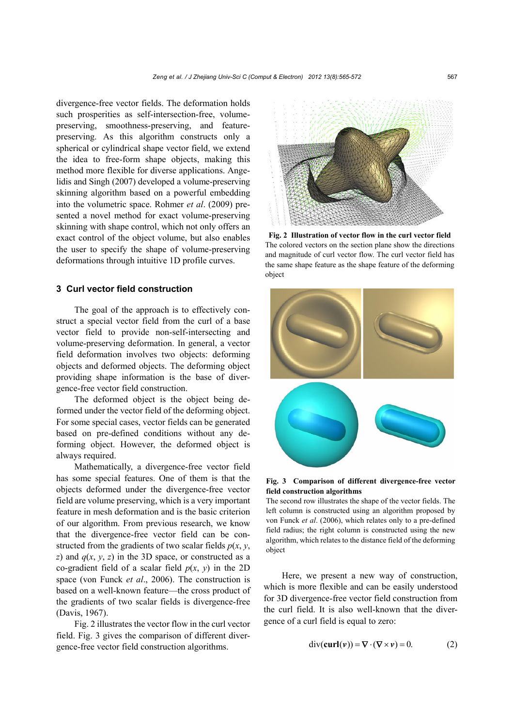divergence-free vector fields. The deformation holds such prosperities as self-intersection-free, volumepreserving, smoothness-preserving, and featurepreserving. As this algorithm constructs only a spherical or cylindrical shape vector field, we extend the idea to free-form shape objects, making this method more flexible for diverse applications. Angelidis and Singh (2007) developed a volume-preserving skinning algorithm based on a powerful embedding into the volumetric space. Rohmer *et al*. (2009) presented a novel method for exact volume-preserving skinning with shape control, which not only offers an exact control of the object volume, but also enables the user to specify the shape of volume-preserving deformations through intuitive 1D profile curves.

# **3 Curl vector field construction**

The goal of the approach is to effectively construct a special vector field from the curl of a base vector field to provide non-self-intersecting and volume-preserving deformation. In general, a vector field deformation involves two objects: deforming objects and deformed objects. The deforming object providing shape information is the base of divergence-free vector field construction.

The deformed object is the object being deformed under the vector field of the deforming object. For some special cases, vector fields can be generated based on pre-defined conditions without any deforming object. However, the deformed object is always required.

Mathematically, a divergence-free vector field has some special features. One of them is that the objects deformed under the divergence-free vector field are volume preserving, which is a very important feature in mesh deformation and is the basic criterion of our algorithm. From previous research, we know that the divergence-free vector field can be constructed from the gradients of two scalar fields  $p(x, y, z)$ *z*) and  $q(x, y, z)$  in the 3D space, or constructed as a co-gradient field of a scalar field  $p(x, y)$  in the 2D space (von Funck *et al*., 2006). The construction is based on a well-known feature—the cross product of the gradients of two scalar fields is divergence-free (Davis, 1967).

Fig. 2 illustrates the vector flow in the curl vector field. Fig. 3 gives the comparison of different divergence-free vector field construction algorithms.



**Fig. 2 Illustration of vector flow in the curl vector field** The colored vectors on the section plane show the directions and magnitude of curl vector flow. The curl vector field has the same shape feature as the shape feature of the deforming object



#### **Fig. 3 Comparison of different divergence-free vector field construction algorithms**

The second row illustrates the shape of the vector fields. The left column is constructed using an algorithm proposed by von Funck *et al*. (2006), which relates only to a pre-defined field radius; the right column is constructed using the new algorithm, which relates to the distance field of the deforming object

Here, we present a new way of construction, which is more flexible and can be easily understood for 3D divergence-free vector field construction from the curl field. It is also well-known that the divergence of a curl field is equal to zero:

$$
\text{div}(\mathbf{curl}(\mathbf{v})) = \nabla \cdot (\nabla \times \mathbf{v}) = 0. \tag{2}
$$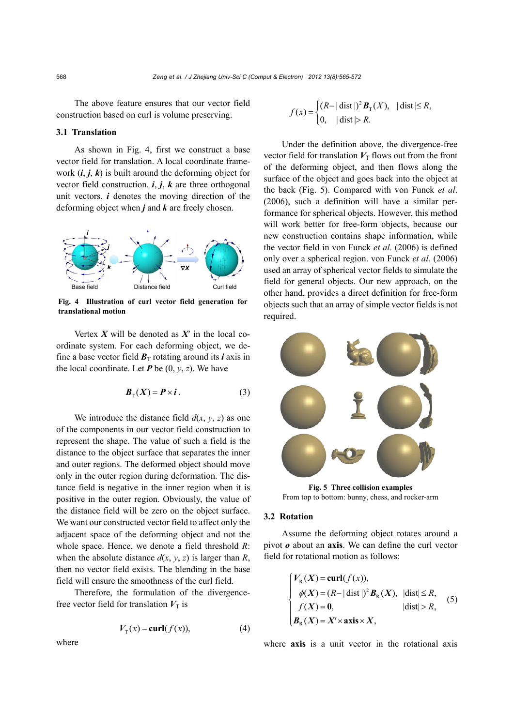The above feature ensures that our vector field construction based on curl is volume preserving.

#### **3.1 Translation**

As shown in Fig. 4, first we construct a base vector field for translation. A local coordinate framework  $(i, j, k)$  is built around the deforming object for vector field construction. *i*, *j*, *k* are three orthogonal unit vectors.  $\boldsymbol{i}$  denotes the moving direction of the deforming object when *j* and *k* are freely chosen.



**Fig. 4 Illustration of curl vector field generation for translational motion** 

Vertex  $X$  will be denoted as  $X'$  in the local coordinate system. For each deforming object, we define a base vector field  $B_T$  rotating around its *i* axis in the local coordinate. Let  $P$  be  $(0, y, z)$ . We have

$$
\boldsymbol{B}_{\mathrm{T}}(X) = \boldsymbol{P} \times \boldsymbol{i} \,. \tag{3}
$$

We introduce the distance field  $d(x, y, z)$  as one of the components in our vector field construction to represent the shape. The value of such a field is the distance to the object surface that separates the inner and outer regions. The deformed object should move only in the outer region during deformation. The distance field is negative in the inner region when it is positive in the outer region. Obviously, the value of the distance field will be zero on the object surface. We want our constructed vector field to affect only the adjacent space of the deforming object and not the whole space. Hence, we denote a field threshold *R*: when the absolute distance  $d(x, y, z)$  is larger than *R*, then no vector field exists. The blending in the base field will ensure the smoothness of the curl field.

Therefore, the formulation of the divergencefree vector field for translation  $V_T$  is

$$
V_{\mathcal{T}}(x) = \mathbf{curl}(f(x)),\tag{4}
$$

 $f(x) = \begin{cases} (R - |\text{dist}|)^2 B_T(X), & |\text{dist}| \le R, \\ 0, & |\text{dist}| > R. \end{cases}$  $\begin{cases} 0, & \text{dist} \geq 0 \end{cases}$ *B*

Under the definition above, the divergence-free vector field for translation  $V_T$  flows out from the front of the deforming object, and then flows along the surface of the object and goes back into the object at the back (Fig. 5). Compared with von Funck *et al*. (2006), such a definition will have a similar performance for spherical objects. However, this method will work better for free-form objects, because our new construction contains shape information, while the vector field in von Funck *et al*. (2006) is defined only over a spherical region. von Funck *et al*. (2006) used an array of spherical vector fields to simulate the field for general objects. Our new approach, on the other hand, provides a direct definition for free-form objects such that an array of simple vector fields is not required.



From top to bottom: bunny, chess, and rocker-arm

### **3.2 Rotation**

Assume the deforming object rotates around a pivot *o* about an **axis**. We can define the curl vector field for rotational motion as follows:

$$
\begin{cases}\nV_{R}(X) = \text{curl}(f(x)), \\
\phi(X) = (R - |\text{dist}|)^{2} B_{R}(X), \ |\text{dist}| \leq R, \\
f(X) = 0, \ |\text{dist}| > R, \\
B_{R}(X) = X' \times \text{axis} \times X,\n\end{cases} (5)
$$

where **axis** is a unit vector in the rotational axis

where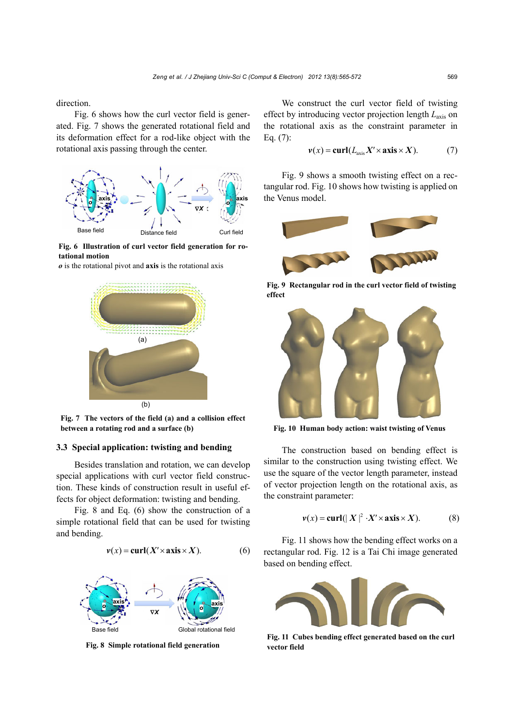direction.

Fig. 6 shows how the curl vector field is generated. Fig. 7 shows the generated rotational field and its deformation effect for a rod-like object with the rotational axis passing through the center.



**Fig. 6 Illustration of curl vector field generation for rotational motion** 

*o* is the rotational pivot and **axis** is the rotational axis



**Fig. 7 The vectors of the field (a) and a collision effect between a rotating rod and a surface (b)** 

## **3.3 Special application: twisting and bending**

Besides translation and rotation, we can develop special applications with curl vector field construction. These kinds of construction result in useful effects for object deformation: twisting and bending.

Fig. 8 and Eq. (6) show the construction of a simple rotational field that can be used for twisting and bending.

$$
v(x) = \text{curl}(X' \times \text{axis} \times X). \tag{6}
$$



**Fig. 8 Simple rotational field generation** 

We construct the curl vector field of twisting effect by introducing vector projection length *L*axis on the rotational axis as the constraint parameter in Eq. (7):

$$
v(x) = \mathbf{curl}(L_{\text{axis}} X' \times \mathbf{axis} \times X). \tag{7}
$$

Fig. 9 shows a smooth twisting effect on a rectangular rod. Fig. 10 shows how twisting is applied on the Venus model.



**Fig. 9 Rectangular rod in the curl vector field of twisting effect** 



**Fig. 10 Human body action: waist twisting of Venus**

The construction based on bending effect is similar to the construction using twisting effect. We use the square of the vector length parameter, instead of vector projection length on the rotational axis, as the constraint parameter:

$$
\nu(x) = \operatorname{curl}(|X|^2 \cdot X' \times \operatorname{axis} \times X). \tag{8}
$$

Fig. 11 shows how the bending effect works on a rectangular rod. Fig. 12 is a Tai Chi image generated based on bending effect.



**Fig. 11 Cubes bending effect generated based on the curl vector field**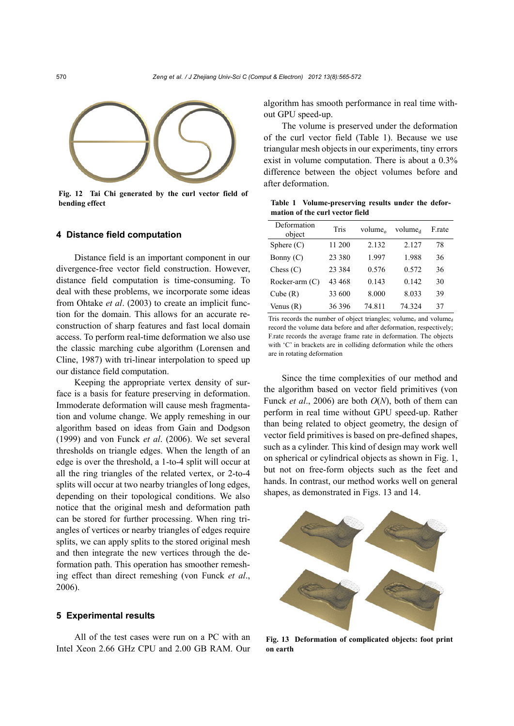

**Fig. 12 Tai Chi generated by the curl vector field of bending effect the substitution of the 1 Volume-preserving results under the defor-**

#### **4 Distance field computation**

Distance field is an important component in our divergence-free vector field construction. However, distance field computation is time-consuming. To deal with these problems, we incorporate some ideas from Ohtake *et al*. (2003) to create an implicit function for the domain. This allows for an accurate reconstruction of sharp features and fast local domain access. To perform real-time deformation we also use the classic marching cube algorithm (Lorensen and Cline, 1987) with tri-linear interpolation to speed up our distance field computation.

Keeping the appropriate vertex density of surface is a basis for feature preserving in deformation. Immoderate deformation will cause mesh fragmentation and volume change. We apply remeshing in our algorithm based on ideas from Gain and Dodgson (1999) and von Funck *et al*. (2006). We set several thresholds on triangle edges. When the length of an edge is over the threshold, a 1-to-4 split will occur at all the ring triangles of the related vertex, or 2-to-4 splits will occur at two nearby triangles of long edges, depending on their topological conditions. We also notice that the original mesh and deformation path can be stored for further processing. When ring triangles of vertices or nearby triangles of edges require splits, we can apply splits to the stored original mesh and then integrate the new vertices through the deformation path. This operation has smoother remeshing effect than direct remeshing (von Funck *et al*., 2006).

#### **5 Experimental results**

All of the test cases were run on a PC with an Intel Xeon 2.66 GHz CPU and 2.00 GB RAM. Our algorithm has smooth performance in real time without GPU speed-up.

The volume is preserved under the deformation of the curl vector field (Table 1). Because we use triangular mesh objects in our experiments, tiny errors exist in volume computation. There is about a 0.3% difference between the object volumes before and after deformation.

**mation of the curl vector field** 

| Deformation<br>object | Tris     | volume <sub>o</sub> | volume <sub>d</sub> | F.rate |  |
|-----------------------|----------|---------------------|---------------------|--------|--|
| Sphere $(C)$          | 11 200   | 2.132               | 2.127               | 78     |  |
| Bonny (C)             | 23 380   | 1.997               | 1.988               | 36     |  |
| Chess $(C)$           | 23 3 8 4 | 0.576               | 0.572               | 36     |  |
| Rocker-arm (C)        | 43 468   | 0.143               | 0.142               | 30     |  |
| Cube $(R)$            | 33 600   | 8.000               | 8.033               | 39     |  |
| Venus $(R)$           | 36396    | 74.811              | 74.324              | 37     |  |

Tris records the number of object triangles; volume<sub>o</sub> and volume<sub>d</sub> record the volume data before and after deformation, respectively; F.rate records the average frame rate in deformation. The objects with 'C' in brackets are in colliding deformation while the others are in rotating deformation

Since the time complexities of our method and the algorithm based on vector field primitives (von Funck *et al*., 2006) are both *O*(*N*), both of them can perform in real time without GPU speed-up. Rather than being related to object geometry, the design of vector field primitives is based on pre-defined shapes, such as a cylinder. This kind of design may work well on spherical or cylindrical objects as shown in Fig. 1, but not on free-form objects such as the feet and hands. In contrast, our method works well on general shapes, as demonstrated in Figs. 13 and 14.



**Fig. 13 Deformation of complicated objects: foot print on earth**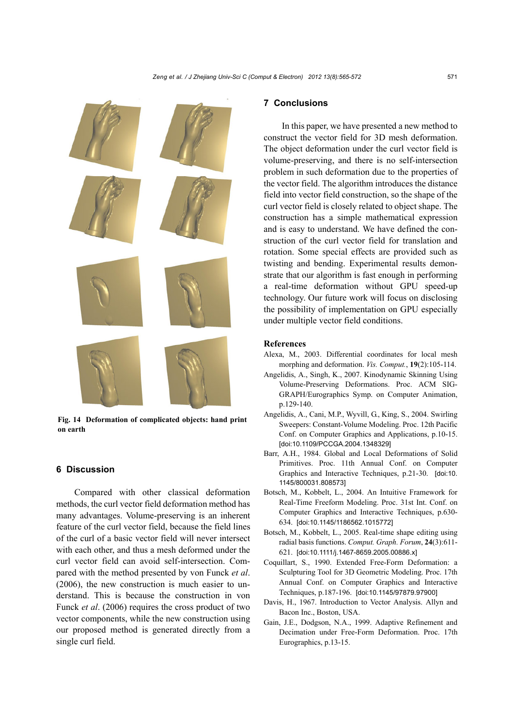

**Fig. 14 Deformation of complicated objects: hand print on earth**

## **6 Discussion**

Compared with other classical deformation methods, the curl vector field deformation method has many advantages. Volume-preserving is an inherent feature of the curl vector field, because the field lines of the curl of a basic vector field will never intersect with each other, and thus a mesh deformed under the curl vector field can avoid self-intersection. Compared with the method presented by von Funck *et al*. (2006), the new construction is much easier to understand. This is because the construction in von Funck *et al*. (2006) requires the cross product of two vector components, while the new construction using our proposed method is generated directly from a single curl field.

# **7 Conclusions**

In this paper, we have presented a new method to construct the vector field for 3D mesh deformation. The object deformation under the curl vector field is volume-preserving, and there is no self-intersection problem in such deformation due to the properties of the vector field. The algorithm introduces the distance field into vector field construction, so the shape of the curl vector field is closely related to object shape. The construction has a simple mathematical expression and is easy to understand. We have defined the construction of the curl vector field for translation and rotation. Some special effects are provided such as twisting and bending. Experimental results demonstrate that our algorithm is fast enough in performing a real-time deformation without GPU speed-up technology. Our future work will focus on disclosing the possibility of implementation on GPU especially under multiple vector field conditions.

### **References**

- Alexa, M., 2003. Differential coordinates for local mesh morphing and deformation. *Vis. Comput.*, **19**(2):105-114.
- Angelidis, A., Singh, K., 2007. Kinodynamic Skinning Using Volume-Preserving Deformations. Proc. ACM SIG-GRAPH/Eurographics Symp. on Computer Animation, p.129-140.
- Angelidis, A., Cani, M.P., Wyvill, G., King, S., 2004. Swirling Sweepers: Constant-Volume Modeling. Proc. 12th Pacific Conf. on Computer Graphics and Applications, p.10-15. [doi:10.1109/PCCGA.2004.1348329]
- Barr, A.H., 1984. Global and Local Deformations of Solid Primitives. Proc. 11th Annual Conf. on Computer Graphics and Interactive Techniques, p.21-30. [doi:10. 1145/800031.808573]
- Botsch, M., Kobbelt, L., 2004. An Intuitive Framework for Real-Time Freeform Modeling. Proc. 31st Int. Conf. on Computer Graphics and Interactive Techniques, p.630- 634. [doi:10.1145/1186562.1015772]
- Botsch, M., Kobbelt, L., 2005. Real-time shape editing using radial basis functions. *Comput. Graph. Forum*, **24**(3):611- 621. [doi:10.1111/j.1467-8659.2005.00886.x]
- Coquillart, S., 1990. Extended Free-Form Deformation: a Sculpturing Tool for 3D Geometric Modeling. Proc. 17th Annual Conf. on Computer Graphics and Interactive Techniques, p.187-196. [doi:10.1145/97879.97900]
- Davis, H., 1967. Introduction to Vector Analysis. Allyn and Bacon Inc., Boston, USA.
- Gain, J.E., Dodgson, N.A., 1999. Adaptive Refinement and Decimation under Free-Form Deformation. Proc. 17th Eurographics, p.13-15.